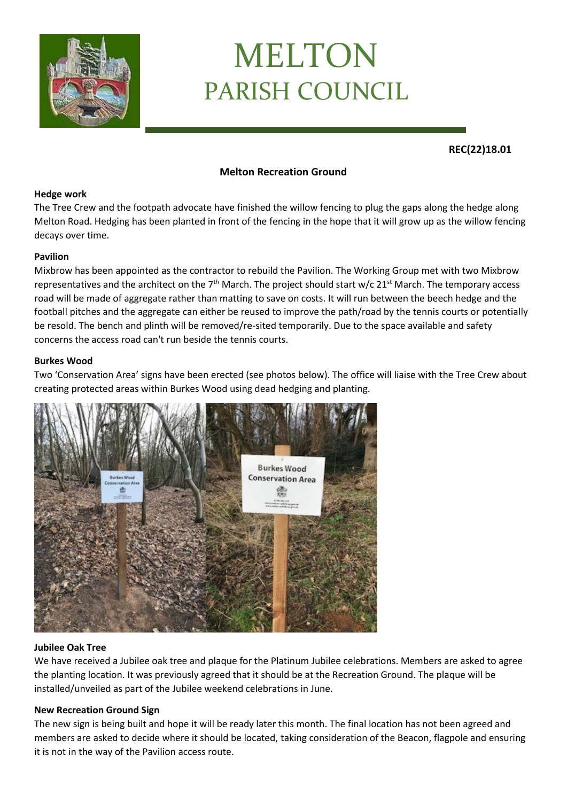

# MELTON PARISH COUNCIL

**REC(22)18.01**

# **Melton Recreation Ground**

#### **Hedge work**

The Tree Crew and the footpath advocate have finished the willow fencing to plug the gaps along the hedge along Melton Road. Hedging has been planted in front of the fencing in the hope that it will grow up as the willow fencing decays over time.

### **Pavilion**

Mixbrow has been appointed as the contractor to rebuild the Pavilion. The Working Group met with two Mixbrow representatives and the architect on the 7<sup>th</sup> March. The project should start w/c  $21<sup>st</sup>$  March. The temporary access road will be made of aggregate rather than matting to save on costs. It will run between the beech hedge and the football pitches and the aggregate can either be reused to improve the path/road by the tennis courts or potentially be resold. The bench and plinth will be removed/re-sited temporarily. Due to the space available and safety concerns the access road can't run beside the tennis courts.

### **Burkes Wood**

Two 'Conservation Area' signs have been erected (see photos below). The office will liaise with the Tree Crew about creating protected areas within Burkes Wood using dead hedging and planting.



#### **Jubilee Oak Tree**

We have received a Jubilee oak tree and plaque for the Platinum Jubilee celebrations. Members are asked to agree the planting location. It was previously agreed that it should be at the Recreation Ground. The plaque will be installed/unveiled as part of the Jubilee weekend celebrations in June.

## **New Recreation Ground Sign**

The new sign is being built and hope it will be ready later this month. The final location has not been agreed and members are asked to decide where it should be located, taking consideration of the Beacon, flagpole and ensuring it is not in the way of the Pavilion access route.